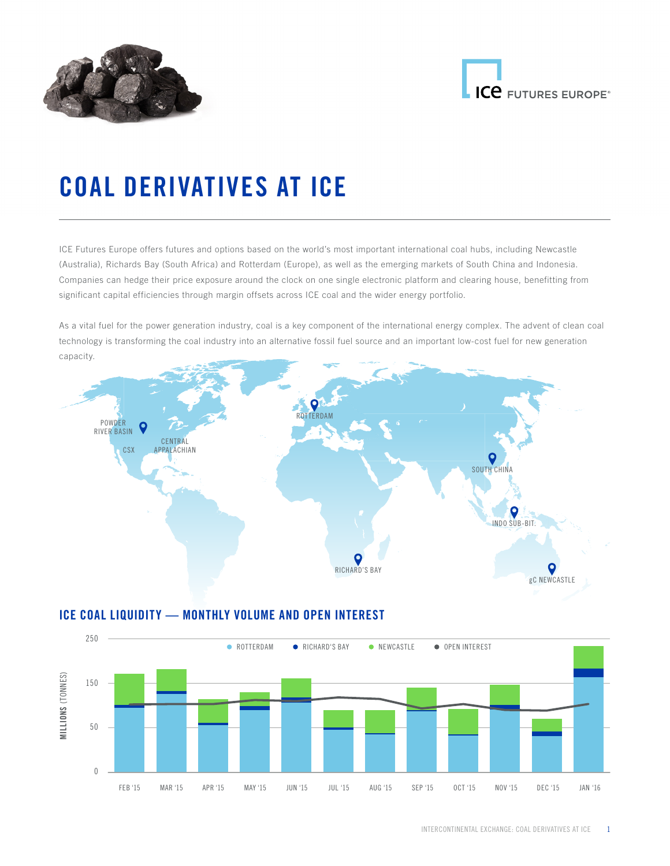



# COAL DERIVATIVES AT ICE

ICE Futures Europe offers futures and options based on the world's most important international coal hubs, including Newcastle (Australia), Richards Bay (South Africa) and Rotterdam (Europe), as well as the emerging markets of South China and Indonesia. Companies can hedge their price exposure around the clock on one single electronic platform and clearing house, benefitting from significant capital efficiencies through margin offsets across ICE coal and the wider energy portfolio.

As a vital fuel for the power generation industry, coal is a key component of the international energy complex. The advent of clean coal technology is transforming the coal industry into an alternative fossil fuel source and an important low-cost fuel for new generation capacity.



# ICE COAL LIQUIDITY — MONTHLY VOLUME AND OPEN INTEREST